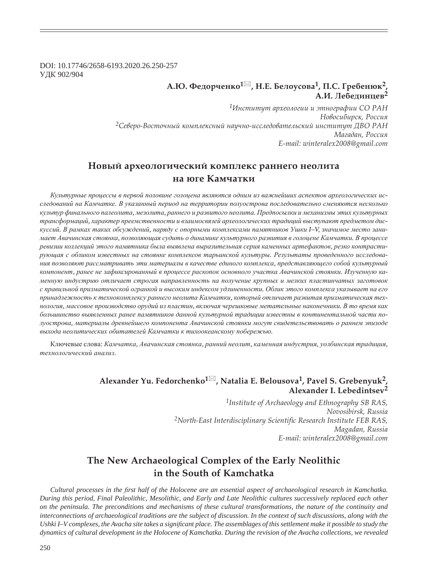DOI: 10.17746/2658-6193.2020.26.250-257 ɍȾɄ 902/904

## **Ǯ.Ȍ. ȂȓȒȜȞȥȓțȘȜ<sup>1</sup> , ǻ.dz. ǯȓșȜȡȟȜȐȎ1, ǽ.ǿ. DZȞȓȏȓțȬȘ2,**   $A.M.$  Лебелинцев<sup>2</sup>

*<sup>1</sup>ǶțȟȠȖȠȡȠ ȎȞȣȓȜșȜȑȖȖ Ȗ ȫȠțȜȑȞȎȢȖȖ ǿǼ ǾǮǻ*  $H$ овосибирск, Россия <sup>2</sup>Северо-Восточный комплексный научно-исследовательский институт ДВО РАН Магадан, Россия *E-mail: winteralex2008@gmail.com*

# Новый археологический комплекс раннего неолита **на юге Камчатки**

Культурные проиессы в первой половине голоиена являются одним из важнейших аспектов археологических исследований на Камчатке. В указанный период на территории полуострова последовательно сменяются несколько культур финального палеолита, мезолита, раннего и развитого неолита. Предпосылки и механизмы этих культурных трансформаций, характер преемственности и взаимосвязей археологических традиций выступают предметом дискуссий. В рамках таких обсуждений, наряду с опорными комплексами памятников Ушки I-V, значимое место занимает Авачинская стоянка, позволяющая судить о динамике культурного развития в голоцене Камчатки. В процессе ревизии коллекций этого памятника была выявлена выразительная серия каменных артефактов, резко контрастирующая с обликом известных на стоянке комплексов тарьинской культуры. Результаты проведенного исследова**ния позволяют рассматривать эти материалы в качестве единого комплекса, представляющего собой культурный** компонент, ранее не зафиксированный в процессе раскопок основного участка Авачинской стоянки. Изученную ка- $M$ енную индустрию отличает строгая направленность на получение крупных и мелких пластинчатых заготовок с правильной призматической огранкой и высоким индексом удлиненности. Облик этого комплекса указывает на его принадлежность к технокомплексу раннего неолита Камчатки, который отличает развитая призматическая технология, массовое производство орудий из пластин, включая черешковые метательные наконечники. В то время как большинство выявленных ранее памятников данной культурной традиции известны в континентальной части полуострова, материалы древнейшего компонента Авачинской стоянки могут свидетельствовать о раннем эпизоде *ɜɵɯɨɞɚ ɧɟɨɥɢɬɢɱɟɫɤɢɯ ɨɛɢɬɚɬɟɥɟɣ Ʉɚɦɱɚɬɤɢ ɤ ɬɢɯɨɨɤɟɚɧɫɤɨɦɭ ɩɨɛɟɪɟɠɶɸ.*

Ключевые слова: Камчатка, Авачинская стоянка, ранний неолит, каменная индустрия, уолбинская традиция,  $mexhohozu$ ческий анализ.

## **Alexander Yu. Fedorchenko<sup>1</sup> , Natalia E. Belousova1, Pavel S. Grebenyuk2, Alexander I. Lebedintsev<sup>2</sup>**

*1Institute of Archaeology and Ethnography SB RAS, Novosibirsk, Russia* <sup>2</sup>North-East Interdisciplinary Scientific Research Institute FEB RAS, *Magadan, Russia E-mail: winteralex2008@gmail.com*

# **The New Archaeological Complex of the Early Neolithic in the South of Kamchatka**

*Cultural processes in the first half of the Holocene are an essential aspect of archaeological research in Kamchatka. During this period, Final Paleolithic, Mesolithic, and Early and Late Neolithic cultures successively replaced each other on the peninsula. The preconditions and mechanisms of these cultural transformations, the nature of the continuity and interconnections of archaeological traditions are the subject of discussion. In the context of such discussions, along with the* Ushki I–V complexes, the Avacha site takes a significant place. The assemblages of this settlement make it possible to study the *dynamics of cultural development in the Holocene of Kamchatka. During the revision of the Avacha collections, we revealed*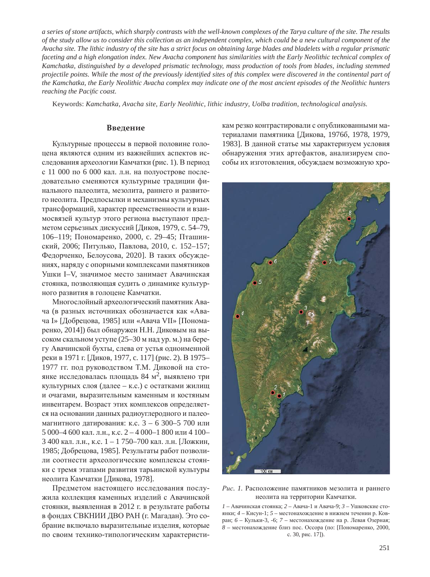*a series of stone artifacts, which sharply contrasts with the well-known complexes of the Tarya culture of the site. The results of the study allow us to consider this collection as an independent complex, which could be a new cultural component of the Avacha site. The lithic industry of the site has a strict focus on obtaining large blades and bladelets with a regular prismatic faceting and a high elongation index. New Avacha component has similarities with the Early Neolithic technical complex of Kamchatka, distinguished by a developed prismatic technology, mass production of tools from blades, including stemmed*  projectile points. While the most of the previously identified sites of this complex were discovered in the continental part of *the Kamchatka, the Early Neolithic Avacha complex may indicate one of the most ancient episodes of the Neolithic hunters reaching the Pacific coast.* 

Keywords: *Kamchatka, Avacha site, Early Neolithic, lithic industry, Uolba tradition, technological analysis.*

## **Введение**

Культурные процессы в первой половине голоцена являются одним из важнейших аспектов исследования археологии Камчатки (рис. 1). В период с 11 000 по 6 000 кал. л.н. на полуострове последовательно сменяются культурные традиции финального палеолита, мезолита, раннего и развитого неолита. Предпосылки и механизмы культурных трансформаций, характер преемственности и взаимосвязей культур этого региона выступают предметом серьезных дискуссий [Диков, 1979, с. 54–79, 106–119; Пономаренко, 2000, с. 29–45; Пташинский, 2006; Питулько, Павлова, 2010, с. 152-157; Федорченко, Белоусова, 2020]. В таких обсуждениях, наряду с опорными комплексами памятников Ушки I–V, значимое место занимает Авачинская стоянка, позволяющая судить о динамике культурного развития в голоцене Камчатки.

Многослойный археологический памятник Авача (в разных источниках обозначается как «Авача I» [Добрецова, 1985] или «Авача VII» [Пономаренко, 2014]) был обнаружен Н.Н. Диковым на высоком скальном уступе (25–30 м над ур. м.) на берегу Авачинской бухты, слева от устья одноименной реки в 1971 г. [Диков, 1977, с. 117] (рис. 2). В 1975– 1977 гг. под руководством Т.М. Диковой на стоянке исследовалась площадь 84 м<sup>2</sup>, выявлено три культурных слоя (далее – к.с.) с остатками жилищ и очагами, выразительным каменным и костяным инвентарем. Возраст этих комплексов определяется на основании данных радиоуглеродного и палеомагнитного датирования: к.с.  $3 - 6$  300–5 700 или 5 000–4 600 кал. л.н., к.с. 2 – 4 000–1 800 или 4 100– 3 400 кал. л.н., к.с.  $1 - 1$  750–700 кал. л.н. [Ложкин, 1985; Добрецова, 1985]. Результаты работ позволили соотнести археологические комплексы стоянки с тремя этапами развития тарьинской культуры неолита Камчатки [Дикова, 1978].

Предметом настоящего исследования послужила коллекция каменных изделий с Авачинской стоянки, выявленная в 2012 г. в результате работы в фондах СВКНИИ ДВО РАН (г. Магадан). Это собрание включало выразительные изделия, которые по своим технико-типологическим характеристикам резко контрастировали с опубликованными материалами памятника [Дикова, 1976б, 1978, 1979, 1983]. В данной статье мы характеризуем условия обнаружения этих артефактов, анализируем способы их изготовления, обсуждаем возможную хро-



Рис. 1. Расположение памятников мезолита и раннего неолита на территории Камчатки.

 $1 -$  Авачинская стоянка;  $2 -$  Авача-1 и Авача-9;  $3 -$  Ушковские стоянки; 4 – Кисун-1; 5 – местонахождение в нижнем течении р. Ковран; *6* – Кульки-3, -6; 7 – местонахождение на р. Левая Озерная;  $8$  – местонахождение близ пос. Оссора (по: [Пономаренко, 2000, с. 30, рис. 17]).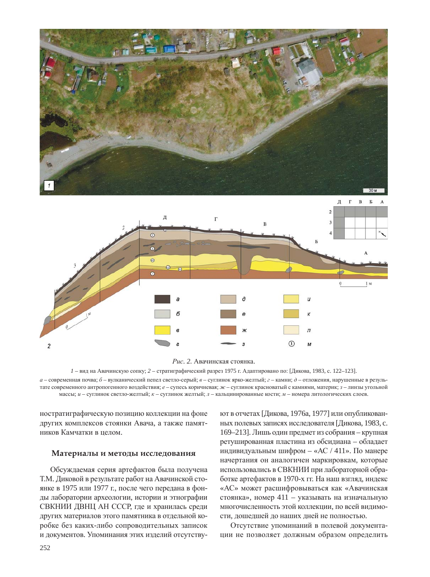

Рис. 2. Авачинская стоянка.

 $1$  – вид на Авачинскую сопку;  $2$  – стратиграфический разрез 1975 г. Адаптировано по: [Дикова, 1983, с. 122–123].

 $a$  – современная почва;  $\delta$  – вулканический пепел светло-серый;  $e$  – суглинок ярко-желтый;  $e$  – камни;  $\delta$  – отложения, нарушенные в результате современного антропогенного воздействия; *е* – супесь коричневая; ж – суглинок красноватый с камнями, материк; *з* – линзы угольной массы; *и* – суглинок светло-желтый; *к* – суглинок желтый; *л* – кальцинированные кости; *м* – номера литологических слоев.

ностратиграфическую позицию коллекции на фоне других комплексов стоянки Авача, а также памятников Камчатки в целом.

### Материалы и методы исследования

Обсуждаемая серия артефактов была получена Т.М. Диковой в результате работ на Авачинской стоянке в 1975 или 1977 г., после чего передана в фонды лаборатории археологии, истории и этнографии СВКНИИ ДВНЦ АН СССР, где и хранилась среди других материалов этого памятника в отдельной коробке без каких-либо сопроводительных записок и документов. Упоминания этих изделий отсутствуют в отчетах [Дикова, 1976а, 1977] или опубликованных полевых записях исследователя [Дикова, 1983, с. 169–213]. Лишь один предмет из собрания – крупная ретушированная пластина из обсидиана – обладает индивидуальным шифром – «АС / 411». По манере начертания он аналогичен маркировкам, которые использовались в СВКНИИ при лабораторной обработке артефактов в 1970-х гг. На наш взгляд, индекс «АС» может расшифровываться как «Авачинская стоянка», номер 411 – указывать на изначальную многочисленность этой коллекции, по всей вилимости, дошедшей до наших дней не полностью.

 $\odot$ 

M

Отсутствие упоминаний в полевой документации не позволяет должным образом определить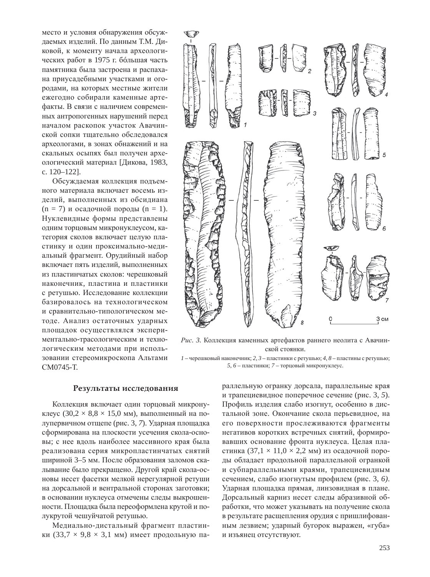место и условия обнаружения обсуждаемых изделий. По данным Т.М. Диковой, к моменту начала археологических работ в 1975 г. большая часть памятника была застроена и распахана приусадебными участками и огородами, на которых местные жители ежегодно собирали каменные артефакты. В связи с наличием современных антропогенных нарушений перед началом раскопок участок Авачинской сопки тщательно обследовался археологами, в зонах обнажений и на скальных осыпях был получен археологический материал [Дикова, 1983, c. 120–122].

Обсуждаемая коллекция подъемного материала включает восемь изделий, выполненных из обсилиана  $(n = 7)$  и осадочной породы  $(n = 1)$ . Нуклевидные формы представлены одним торцовым микронуклеусом, категория сколов включает целую пластинку и один проксимально-медиальный фрагмент. Орудийный набор включает пять изделий, выполненных из пластинчатых сколов: черешковый наконечник, пластина и пластинки с ретушью. Исследование коллекции базировалось на технологическом и сравнительно-типологическом методе. Анализ остаточных ударных площадок осуществлялся экспериментально-трасологическим и технологическим методами при использовании стереомикроскопа Альтами CM0745-T.



Рис. 3. Коллекция каменных артефактов раннего неолита с Авачинской стоянки.

 $1$  – черешковый наконечник; 2, 3 – пластинки с ретушью; 4, 8 – пластины с ретушью;  $5, 6$  – пластинки;  $7$  – торцовый микронуклеус.

#### Результаты исследования

Коллекция включает один торцовый микронуклеус (30,2  $\times$  8,8  $\times$  15,0 мм), выполненный на полупервичном отщепе (рис. 3, 7). Ударная площадка сформирована на плоскости усечения скола-основы; с нее вдоль наиболее массивного края была реализована серия микропластинчатых снятий шириной 3–5 мм. После образования заломов скалывание было прекращено. Другой край скола-основы несет фасетки мелкой нерегулярной ретуши на дорсальной и вентральной сторонах заготовки; в основании нуклеуса отмечены следы выкрошенности. Площадка была переоформлена крутой и полукрутой чешуйчатой ретушью.

Медиально-дистальный фрагмент пластинки (33,7  $\times$  9,8  $\times$  3,1 мм) имеет продольную параллельную огранку дорсала, параллельные края и трапециевидное поперечное сечение (рис. 3, 5). Профиль изделия слабо изогнут, особенно в дистальной зоне. Окончание скола перьевидное, на его поверхности прослеживаются фрагменты негативов коротких встречных снятий, формировавших основание фронта нуклеуса. Целая пластинка (37,1  $\times$  11,0  $\times$  2,2 мм) из осадочной породы обладает продольной параллельной огранкой и субпараллельными краями, трапециевидным сечением, слабо изогнутым профилем (рис. 3, 6). Ударная площадка прямая, линзовидная в плане. Дорсальный карниз несет следы абразивной обработки, что может указывать на получение скола в результате расщепления орудия с пришлифованным лезвием; ударный бугорок выражен, «губа» и изъянец отсутствуют.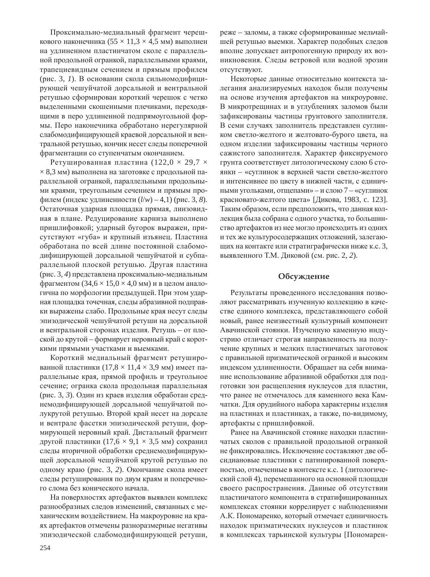Проксимально-медиальный фрагмент черешкового наконечника (55  $\times$  11,3  $\times$  4,5 мм) выполнен на удлиненном пластинчатом сколе с параллельной продольной огранкой, параллельными краями, трапециевидным сечением и прямым профилем (рис. 3, 1). В основании скола сильномодифицирующей чешуйчатой дорсальной и вентральной ретушью сформирован короткий черешок с четко выделенными скошенными плечиками, переходящими в перо удлиненной подпрямоугольной формы. Перо наконечника обработано нерегулярной слабомодифицирующей краевой дорсальной и вентральной ретушью, кончик несет следы поперечной фрагментации со ступенчатым окончанием.

Ретушированная пластина (122,0  $\times$  29,7  $\times$  $\times$  8,3 мм) выполнена на заготовке с продольной параллельной огранкой, параллельными продольными краями, треугольным сечением и прямым про- $\phi$ илем (индекс удлиненности ( $l/w$ ) – 4,1) (рис. 3, 8). Остаточная ударная площадка прямая, линзовидная в плане. Редуцирование карниза выполнено пришлифовкой; ударный бугорок выражен, присутствуют «губа» и крупный изъянец. Пластина обработана по всей длине постоянной слабомодифицирующей дорсальной чешуйчатой и субпараллельной плоской ретушью. Другая пластина (рис. 3, 4) представлена проксимально-медиальным фрагментом (34,6  $\times$  15,0  $\times$  4,0 мм) и в целом аналогична по морфологии предыдущей. При этом ударная площадка точечная, следы абразивной подправки выражены слабо. Продольные края несут следы эпизодической чешуйчатой ретуши на дорсальной и вентральной сторонах изделия. Ретушь – от плоской до крутой – формирует неровный край с короткими прямыми участками и выемками.

Короткий медиальный фрагмент ретушированной пластинки (17,8  $\times$  11,4  $\times$  3,9 мм) имеет параллельные края, прямой профиль и треугольное сечение; огранка скола продольная параллельная (рис. 3, 3). Один из краев изделия обработан среднемодифицирующей дорсальной чешуйчатой полукрутой ретушью. Второй край несет на дорсале и вентрале фасетки эпизодической ретуши, формирующей неровный край. Дистальный фрагмент другой пластинки  $(17,6 \times 9,1 \times 3,5 \text{ MM})$  сохранил следы вторичной обработки среднемодифицирующей дорсальной чешуйчатой крутой ретушью по одному краю (рис. 3, 2). Окончание скола имеет следы ретуширования по двум краям и поперечного слома без конического начала.

На поверхностях артефактов выявлен комплекс разнообразных следов изменений, связанных с механическим воздействием. На макроуровне на краях артефактов отмечены разноразмерные негативы эпизодической слабомодифицирующей ретуши,

реже – заломы, а также сформированные мельчайшей ретушью выемки. Характер подобных следов вполне допускает антропогенную природу их возникновения. Следы ветровой или водной эрозии отсутствуют.

Некоторые данные относительно контекста залегания анализируемых находок были получены на основе изучения артефактов на микроуровне. В микротрещинах и в углублениях заломов были зафиксированы частицы грунтового заполнителя. В семи случаях заполнитель представлен суглинком светло-желтого и желтовато-бурого цвета, на одном изделии зафиксированы частицы черного сажистого заполнителя. Характер фиксируемого грунта соответствует литологическому слою 6 стоянки – «суглинок в верхней части светло-желтого и интенсивнее по цвету в нижней части, с единичными угольками, отщепами» – и слою 7 – «суглинок красновато-желтого цвета» [Дикова, 1983, с. 123]. Таким образом, если предположить, что данная коллекция была собрана с одного участка, то большинство артефактов из нее могло происходить из одних и тех же культуросодержащих отложений, залегающих на контакте или стратиграфически ниже к.с. 3, выявленного Т.М. Диковой (см. рис. 2, 2).

## Обсуждение

Результаты проведенного исследования позволяют рассматривать изученную коллекцию в качестве единого комплекса, представляющего собой новый, ранее неизвестный культурный компонент Авачинской стоянки. Изученную каменную индустрию отличает строгая направленность на получение крупных и мелких пластинчатых заготовок с правильной призматической огранкой и высоким индексом удлиненности. Обращает на себя внимание использование абразивной обработки для подготовки зон расщепления нуклеусов для пластин, что ранее не отмечалось для каменного века Камчатки. Для орудийного набора характерны изделия на пластинах и пластинках, а также, по-видимому, артефакты с пришлифовкой.

Ранее на Авачинской стоянке находки пластинчатых сколов с правильной продольной огранкой не фиксировались. Исключение составляют две обсидиановые пластинки с патинированной поверхностью, отмеченные в контексте к.с. 1 (литологический слой 4), перемешанного на основной площади своего распространения. Данные об отсутствии пластинчатого компонента в стратифицированных комплексах стоянки коррелирует с наблюдениями А.К. Пономаренко, который отмечает единичность находок призматических нуклеусов и пластинок в комплексах тарьинской культуры [Пономарен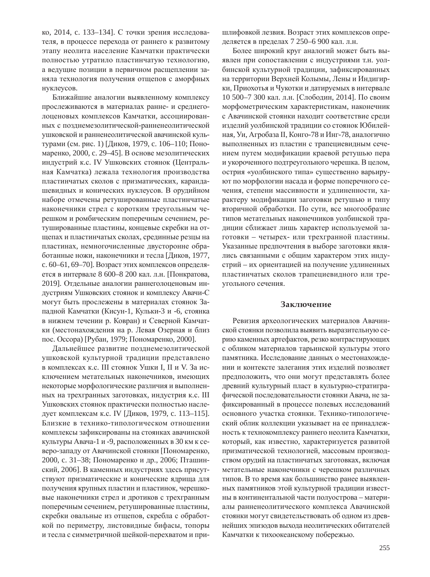ко, 2014, с. 133–134]. С точки зрения исследователя, в процессе перехода от раннего к развитому этапу неолита население Камчатки практически полностью утратило пластинчатую технологию, а ведущие позиции в первичном расщеплении заняла технология получения отщепов с аморфных нуклеусов.

Ближайшие аналогии выявленному комплексу прослеживаются в материалах ранне- и среднеголоценовых комплексов Камчатки, ассоциированных с позднемезолитической-ранненеолитической ушковской и ранненеолитической авачинской культурами (см. рис. 1) [Диков, 1979, с. 106–110; Пономаренко, 2000, с. 29–45]. В основе мезолитических индустрий к.с. IV Ушковских стоянок (Центральная Камчатка) лежала технология производства пластинчатых сколов с призматических, карандашевидных и конических нуклеусов. В орудийном наборе отмечены ретушированные пластинчатые наконечники стрел с коротким треугольным черешком и ромбическим поперечным сечением, ретушированные пластины, концевые скребки на отщепах и пластинчатых сколах, срединные резцы на пластинах, немногочисленные двусторонне обработанные ножи, наконечники и тесла [Диков, 1977, с. 60–61, 69–70]. Возраст этих комплексов определяется в интервале 8 600–8 200 кал. л.н. [Понкратова, 2019]. Отдельные аналогии раннеголоценовым индустриям Ушковских стоянок и комплексу Авачи-С могут быть прослежены в материалах стоянок Западной Камчатки (Кисун-1, Кульки-3 и -6, стоянка в нижнем течении р. Ковран) и Северной Камчатки (местонахождения на р. Левая Озерная и близ пос. Оссора) [Рубан, 1979; Пономаренко, 2000].

Дальнейшее развитие позднемезолитической ушковской культурной традиции представлено в комплексах к.с. III стоянок Ушки I, II и V. За исключением метательных наконечников, имеющих некоторые морфологические различия и выполненных на трехгранных заготовках, индустрия к.с. III Ушковских стоянок практически полностью наследует комплексам к.с. IV [Диков, 1979, с. 113-115]. Близкие в технико-типологическом отношении комплексы зафиксированы на стоянках авачинской культуры Авача-1 и -9, расположенных в 30 км к северо-западу от Авачинской стоянки [Пономаренко, 2000, с. 31–38; Пономаренко и др., 2006; Пташинский, 2006]. В каменных индустриях здесь присутствуют призматические и конические ядрища для получения крупных пластин и пластинок, черешковые наконечники стрел и дротиков с трехгранным поперечным сечением, ретушированные пластины, скребки овальные из отщепов, скребла с обработкой по периметру, листовидные бифасы, топоры и тесла с симметричной шейкой-перехватом и пришлифовкой лезвия. Возраст этих комплексов определяется в пределах 7 250–6 900 кал. л.н.

Более широкий круг аналогий может быть выявлен при сопоставлении с индустриями т.н. уолбинской культурной традиции, зафиксированных на территории Верхней Колымы, Лены и Индигирки, Приохотья и Чукотки и датируемых в интервале 10 500–7 300 кал. л.н. [Слободин, 2014]. По своим морфометрическим характеристикам, наконечник с Авачинской стоянки находит соответствие среди изделий уолбинской традиции со стоянок Юбилейная, Уи, Агробаза II, Конго-78 и Инг-78, аналогично выполненных из пластин с трапециевидным сечением путем модификации краевой ретушью пера и укороченного подтреугольного черешка. В целом, острия «уолбинского типа» существенно варьируют по морфологии насада и форме поперечного сечения, степени массивности и удлиненности, характеру модификации заготовки ретушью и типу вторичной обработки. По сути, все многообразие типов метательных наконечников уолбинской традиции сближает лишь характер используемой заготовки – четырех- или трехгранной пластины. Указанные предпочтения в выборе заготовки являлись связанными с общим характером этих индустрий – их ориентацией на получение удлиненных пластинчатых сколов трапециевидного или треугольного сечения.

### Заключение

Ревизия археологических материалов Авачинской стоянки позволила выявить выразительную серию каменных артефактов, резко контрастирующих с обликом материалов тарьинской культуры этого памятника. Исследование данных о местонахождении и контексте залегания этих изделий позволяет предположить, что они могут представлять более древний культурный пласт в культурно-стратиграфической последовательности стоянки Авача, не зафиксированный в процессе полевых исследований основного участка стоянки. Технико-типологический облик коллекции указывает на ее принадлежность к технокомплексу раннего неолита Камчатки, который, как известно, характеризуется развитой призматической технологией, массовым производством орудий на пластинчатых заготовках, включая метательные наконечники с черешком различных типов. В то время как большинство ранее выявленных памятников этой культурной традиции известны в континентальной части полуострова - материалы ранненеолитического комплекса Авачинской стоянки могут свидетельствовать об одном из древнейших эпизодов выхода неолитических обитателей Камчатки к тихоокеанскому побережью.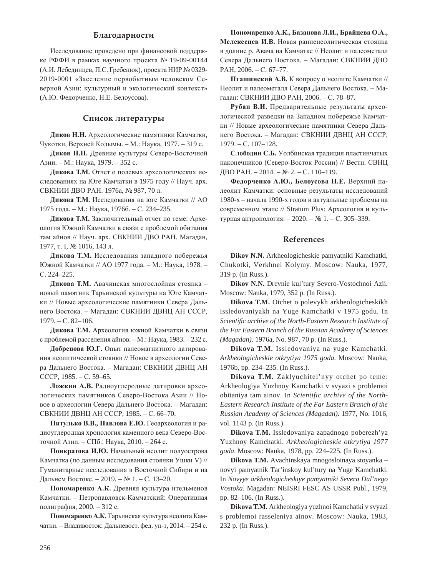## **Благодарности**

Исследование проведено при финансовой поддержке РФФИ в рамках научного проекта № 19-09-00144 (А.И. Лебединцев, П.С. Гребенюк), проекта НИР № 0329-2019-0001 «Заселение первобытным человеком Северной Азии: культурный и экологический контекст» (А.Ю. Федорченко, Н.Е. Белоусова).

## Список литературы

Диков Н.Н. Археологические памятники Камчатки, Чукотки, Верхней Колымы. – М.: Наука, 1977. – 319 с.

Диков Н.Н. Древние культуры Северо-Восточной Азии. – М.: Наука, 1979. – 352 с.

Дикова Т.М. Отчет о полевых археологических исследованиях на Юге Камчатки в 1975 году // Науч. арх. СВКНИИ ДВО РАН. 1976а, № 987, 70 л.

**Ликова Т.М.** Исслелования на юге Камчатки // АО 1975 года. – М.: Наука, 1976б. – С. 234–235.

Дикова Т.М. Заключительный отчет по теме: Археология Южной Камчатки в связи с проблемой обитания там айнов // Науч. арх. СВКНИИ ДВО РАН. Магадан, 1977, т. I, № 1016, 143 л.

Дикова Т.М. Исследования западного побережья Южной Камчатки // АО 1977 года. – М.: Наука, 1978. – C. 224-225.

Дикова Т.М. Авачинская многослойная стоянка новый памятник Тарьинской культуры на Юге Камчатки // Новые археологические памятники Севера Дальнего Востока. – Магадан: СВКНИИ ДВНЦ АН СССР, 1979. – ɋ. 82–106.

Дикова Т.М. Археология южной Камчатки в связи с проблемой расселения айнов. – М.: Наука, 1983. – 232 с.

Добрецова Ю.Г. Опыт палеомагнитного датирования неолитической стоянки // Новое в археологии Севера Дальнего Востока. – Магадан: СВКНИИ ДВНЦ АН CCCP, 1985. – C. 59–65.

Ложкин А.В. Радиоуглеродные датировки археологических памятников Северо-Востока Азии // Новое в археологии Севера Дальнего Востока. – Магадан: СВКНИИ ДВНЦ АН СССР, 1985. – С. 66–70.

Питулько В.В., Павлова Е.Ю. Геоархеология и радиоуглеродная хронология каменного века Северо-Восточной Азии. – СПб.: Наука, 2010. – 264 с.

Понкратова И.Ю. Начальный неолит полуострова Камчатка (по данным исследования стоянки Ушки V) // Гуманитарные исследования в Восточной Сибири и на Дальнем Востоке. – 2019. – № 1. – С. 13–20.

Пономаренко А.К. Древняя культура ительменов Камчатки. – Петропавловск-Камчатский: Оперативная полиграфия, 2000. – 312 с.

Пономаренко А.К. Тарьинская культура неолита Камчатки. – Владивосток: Дальневост. фед. ун-т, 2014. – 254 с.

 $\Pi$ ономаренко А.К., Базанова Л.И., Брайцева О.А., Мелекесцев И.В. Новая ранненеолитическая стоянка в долине р. Авача на Камчатке // Неолит и палеометалл Севера Дальнего Востока. – Магадан: СВКНИИ ДВО PAH, 2006. – C. 67–77.

Пташинский А.В. К вопросу о неолите Камчатки // Неолит и палеометалл Севера Дальнего Востока. – Магадан: СВКНИИ ДВО РАН, 2006. – С. 78–87.

Рубан В.И. Предварительные результаты археологической разведки на Западном побережье Камчатки // Новые археологические памятники Севера Дальнего Востока. – Магадан: СВКНИИ ДВНЦ АН СССР, 1979. – ɋ. 107–128.

Слободин С.Б. Уолбинская традиция пластинчатых наконечников (Северо-Восток России) // Вестн. СВНЦ ДВО РАН. – 2014. – № 2. – С. 110–119.

 $\Phi$ едорченко А.Ю., Белоусова Н.Е. Верхний палеолит Камчатки: основные результаты исследований 1980-х – начала 1990-х годов и актуальные проблемы на современном этапе // Stratum Plus: Археология и культурная антропология. – 2020. – № 1. – С. 305–339.

## **References**

**Dikov N.N.** Arkheologicheskie pamyatniki Kamchatki, Chukotki, Verkhnei Kolymy. Moscow: Nauka, 1977, 319 p. (In Russ.).

**Dikov N.N.** Drevnie kul'tury Severo-Vostochnoi Azii. Moscow: Nauka, 1979, 352 p. (In Russ.).

**Dikova T.M.** Otchet o polevykh arkheologicheskikh issledovaniyakh na Yuge Kamchatki v 1975 godu. In *Scientific archive of the North-Eastern Research Institute of the Far Eastern Branch of the Russian Academy of Sciences (Magadan)*. 1976a, No. 987, 70 p. (In Russ.).

**Dikova T.M.** Issledovaniya na yuge Kamchatki. *Arkheologicheskie otkrytiya 1975 goda*. Moscow: Nauka, 1976b, pp. 234–235. (In Russ.).

**Dikova T.M.** Zaklyuchitel'nyy otchet po teme: Arkheologiya Yuzhnoy Kamchatki v svyazi s problemoi obitaniya tam ainov. In *Scientific archive of the North-Eastern Research Institute of the Far Eastern Branch of the Russian Academy of Sciences (Magadan)*. 1977, No. 1016, vol. 1143 p. (In Russ.).

**Dikova T.M.** Issledovaniya zapadnogo poberezh'ya Yuzhnoy Kamchatki. *Arkheologicheskie otkrytiya 1977 goda*. Moscow: Nauka, 1978, pp. 224–225. (In Russ.).

**Dikova T.M.** Avachinskaya mnogosloinaya stoyanka – novyi pamyatnik Tar'inskoy kul'tury na Yuge Kamchatki. In *Novyye arkheologicheskiye pamyatniki Severa Dal'nego Vostoka*. Magadan: NEISRI FESC AS USSR Publ., 1979, pp. 82–106. (In Russ.).

**Dikova T.M.** Arkheologiya yuzhnoi Kamchatki v svyazi s problemoi rasseleniya ainov. Moscow: Nauka, 1983, 232 p. (In Russ.).